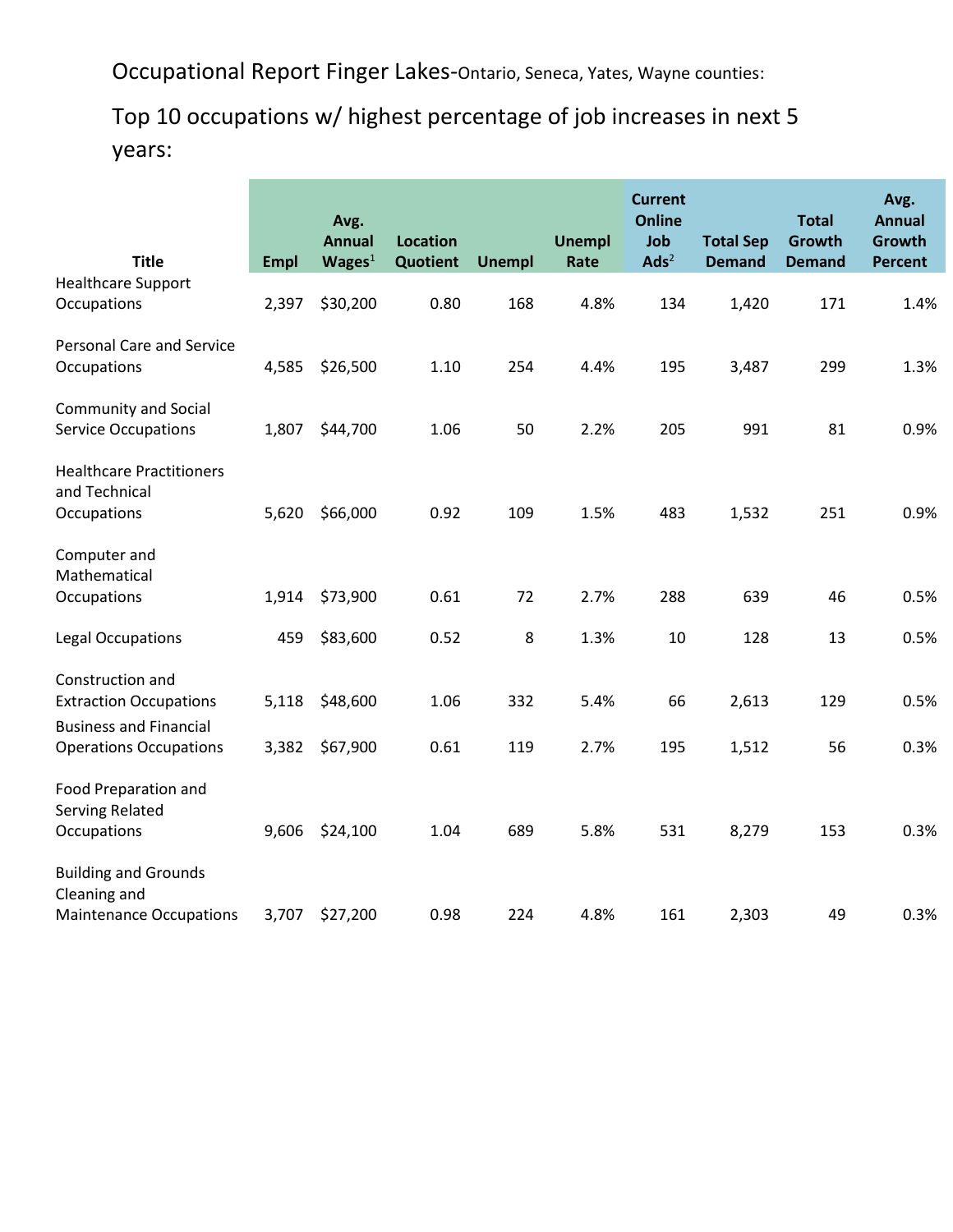Occupational Report Finger Lakes-Ontario, Seneca, Yates, Wayne counties:

## Top 10 occupations w/ highest percentage of job increases in next 5 years:

|                                                                 |             | Avg.<br><b>Annual</b> | <b>Location</b> |               | <b>Unempl</b> | <b>Current</b><br><b>Online</b><br>Job | <b>Total Sep</b> | <b>Total</b><br>Growth | Avg.<br><b>Annual</b><br>Growth |
|-----------------------------------------------------------------|-------------|-----------------------|-----------------|---------------|---------------|----------------------------------------|------------------|------------------------|---------------------------------|
| <b>Title</b>                                                    | <b>Empl</b> | Wages <sup>1</sup>    | Quotient        | <b>Unempl</b> | Rate          | $\mathbf{Ads}^2$                       | <b>Demand</b>    | <b>Demand</b>          | <b>Percent</b>                  |
| <b>Healthcare Support</b><br>Occupations                        | 2,397       | \$30,200              | 0.80            | 168           | 4.8%          | 134                                    | 1,420            | 171                    | 1.4%                            |
| <b>Personal Care and Service</b><br>Occupations                 | 4,585       | \$26,500              | 1.10            | 254           | 4.4%          | 195                                    | 3,487            | 299                    | 1.3%                            |
| <b>Community and Social</b><br><b>Service Occupations</b>       | 1,807       | \$44,700              | 1.06            | 50            | 2.2%          | 205                                    | 991              | 81                     | 0.9%                            |
| <b>Healthcare Practitioners</b><br>and Technical<br>Occupations | 5,620       | \$66,000              | 0.92            | 109           | 1.5%          | 483                                    | 1,532            | 251                    | 0.9%                            |
| Computer and<br>Mathematical                                    |             |                       |                 |               |               |                                        |                  |                        |                                 |
| Occupations                                                     | 1,914       | \$73,900              | 0.61            | 72            | 2.7%          | 288                                    | 639              | 46                     | 0.5%                            |
| <b>Legal Occupations</b>                                        | 459         | \$83,600              | 0.52            | 8             | 1.3%          | 10                                     | 128              | 13                     | 0.5%                            |
| Construction and<br><b>Extraction Occupations</b>               | 5,118       | \$48,600              | 1.06            | 332           | 5.4%          | 66                                     | 2,613            | 129                    | 0.5%                            |
| <b>Business and Financial</b><br><b>Operations Occupations</b>  | 3,382       | \$67,900              | 0.61            | 119           | 2.7%          | 195                                    | 1,512            | 56                     | 0.3%                            |
| Food Preparation and<br><b>Serving Related</b><br>Occupations   | 9,606       | \$24,100              | 1.04            | 689           | 5.8%          | 531                                    | 8,279            | 153                    | 0.3%                            |
| <b>Building and Grounds</b><br>Cleaning and                     |             |                       |                 |               |               |                                        |                  |                        |                                 |
| <b>Maintenance Occupations</b>                                  | 3,707       | \$27,200              | 0.98            | 224           | 4.8%          | 161                                    | 2,303            | 49                     | 0.3%                            |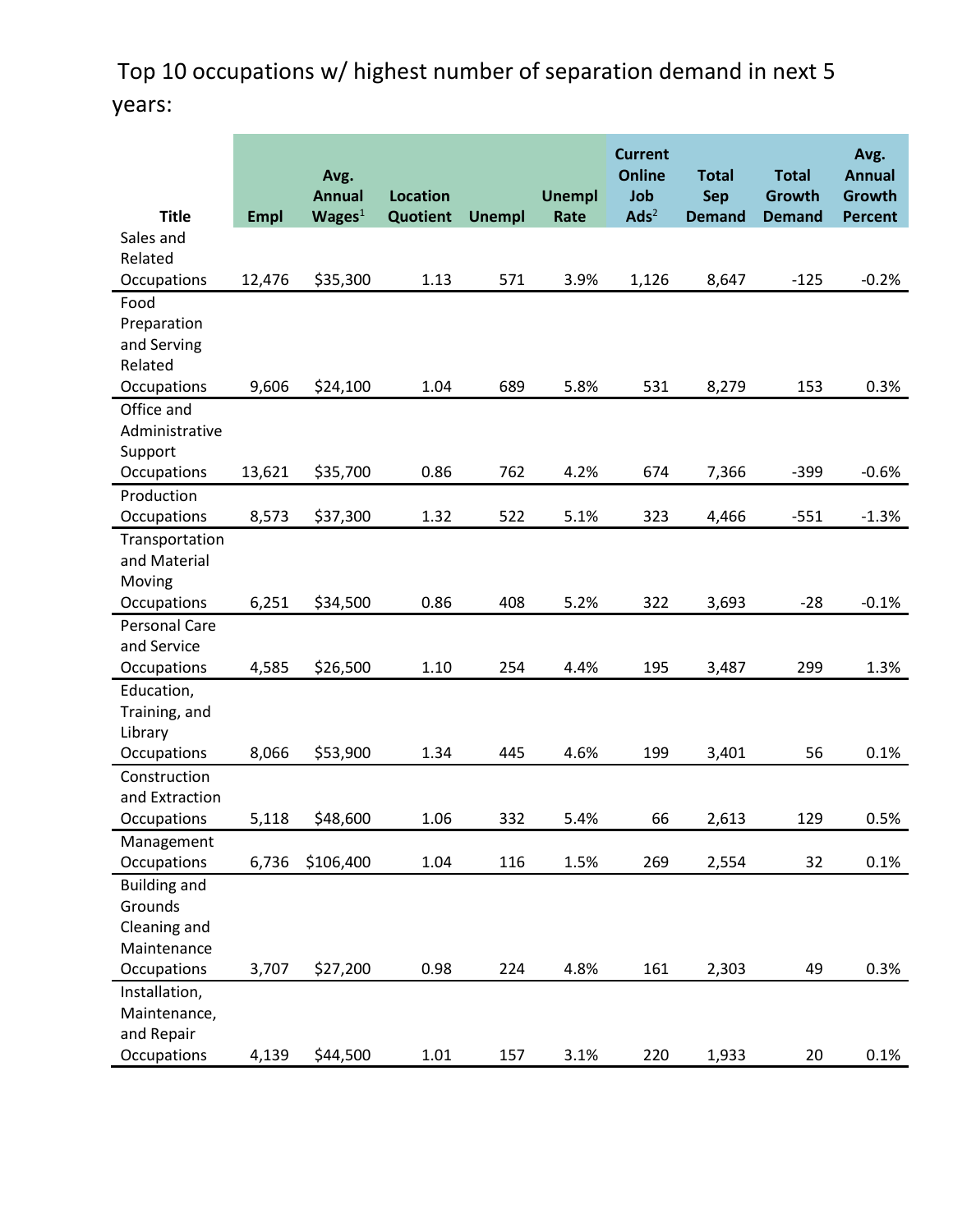Top 10 occupations w/ highest number of separation demand in next 5 years:

| <b>Title</b>               | <b>Empl</b> | Avg.<br><b>Annual</b><br>Wages <sup>1</sup> | <b>Location</b><br>Quotient | <b>Unempl</b> | <b>Unempl</b><br>Rate | <b>Current</b><br><b>Online</b><br>Job<br>$\mathbf{Ads}^2$ | <b>Total</b><br><b>Sep</b><br><b>Demand</b> | <b>Total</b><br>Growth<br><b>Demand</b> | Avg.<br><b>Annual</b><br>Growth<br><b>Percent</b> |
|----------------------------|-------------|---------------------------------------------|-----------------------------|---------------|-----------------------|------------------------------------------------------------|---------------------------------------------|-----------------------------------------|---------------------------------------------------|
| Sales and                  |             |                                             |                             |               |                       |                                                            |                                             |                                         |                                                   |
| Related                    |             |                                             |                             |               |                       |                                                            |                                             |                                         |                                                   |
| Occupations                | 12,476      | \$35,300                                    | 1.13                        | 571           | 3.9%                  | 1,126                                                      | 8,647                                       | $-125$                                  | $-0.2%$                                           |
| Food                       |             |                                             |                             |               |                       |                                                            |                                             |                                         |                                                   |
| Preparation                |             |                                             |                             |               |                       |                                                            |                                             |                                         |                                                   |
| and Serving                |             |                                             |                             |               |                       |                                                            |                                             |                                         |                                                   |
| Related                    |             |                                             |                             |               |                       |                                                            |                                             |                                         |                                                   |
| Occupations                | 9,606       | \$24,100                                    | 1.04                        | 689           | 5.8%                  | 531                                                        | 8,279                                       | 153                                     | 0.3%                                              |
| Office and                 |             |                                             |                             |               |                       |                                                            |                                             |                                         |                                                   |
| Administrative             |             |                                             |                             |               |                       |                                                            |                                             |                                         |                                                   |
| Support                    |             |                                             |                             |               |                       |                                                            |                                             |                                         |                                                   |
| Occupations                | 13,621      | \$35,700                                    | 0.86                        | 762           | 4.2%                  | 674                                                        | 7,366                                       | $-399$                                  | $-0.6%$                                           |
| Production                 |             |                                             |                             |               |                       |                                                            |                                             |                                         |                                                   |
| Occupations                | 8,573       | \$37,300                                    | 1.32                        | 522           | 5.1%                  | 323                                                        | 4,466                                       | $-551$                                  | $-1.3%$                                           |
| Transportation             |             |                                             |                             |               |                       |                                                            |                                             |                                         |                                                   |
| and Material               |             |                                             |                             |               |                       |                                                            |                                             |                                         |                                                   |
| Moving                     |             |                                             |                             |               |                       |                                                            |                                             |                                         |                                                   |
| Occupations                | 6,251       | \$34,500                                    | 0.86                        | 408           | 5.2%                  | 322                                                        | 3,693                                       | $-28$                                   | $-0.1%$                                           |
| <b>Personal Care</b>       |             |                                             |                             |               |                       |                                                            |                                             |                                         |                                                   |
| and Service<br>Occupations | 4,585       | \$26,500                                    | 1.10                        | 254           | 4.4%                  | 195                                                        | 3,487                                       | 299                                     | 1.3%                                              |
| Education,                 |             |                                             |                             |               |                       |                                                            |                                             |                                         |                                                   |
| Training, and              |             |                                             |                             |               |                       |                                                            |                                             |                                         |                                                   |
| Library                    |             |                                             |                             |               |                       |                                                            |                                             |                                         |                                                   |
| Occupations                | 8,066       | \$53,900                                    | 1.34                        | 445           | 4.6%                  | 199                                                        | 3,401                                       | 56                                      | 0.1%                                              |
| Construction               |             |                                             |                             |               |                       |                                                            |                                             |                                         |                                                   |
| and Extraction             |             |                                             |                             |               |                       |                                                            |                                             |                                         |                                                   |
| Occupations                | 5,118       | \$48,600                                    | 1.06                        | 332           | 5.4%                  | 66                                                         | 2,613                                       | 129                                     | 0.5%                                              |
| Management                 |             |                                             |                             |               |                       |                                                            |                                             |                                         |                                                   |
| Occupations                | 6,736       | \$106,400                                   | 1.04                        | 116           | 1.5%                  | 269                                                        | 2,554                                       | 32                                      | 0.1%                                              |
| <b>Building and</b>        |             |                                             |                             |               |                       |                                                            |                                             |                                         |                                                   |
| Grounds                    |             |                                             |                             |               |                       |                                                            |                                             |                                         |                                                   |
| Cleaning and               |             |                                             |                             |               |                       |                                                            |                                             |                                         |                                                   |
| Maintenance                |             |                                             |                             |               |                       |                                                            |                                             |                                         |                                                   |
| Occupations                | 3,707       | \$27,200                                    | 0.98                        | 224           | 4.8%                  | 161                                                        | 2,303                                       | 49                                      | 0.3%                                              |
| Installation,              |             |                                             |                             |               |                       |                                                            |                                             |                                         |                                                   |
| Maintenance,               |             |                                             |                             |               |                       |                                                            |                                             |                                         |                                                   |
| and Repair                 |             |                                             |                             |               |                       |                                                            |                                             |                                         |                                                   |
| Occupations                | 4,139       | \$44,500                                    | 1.01                        | 157           | 3.1%                  | 220                                                        | 1,933                                       | 20                                      | 0.1%                                              |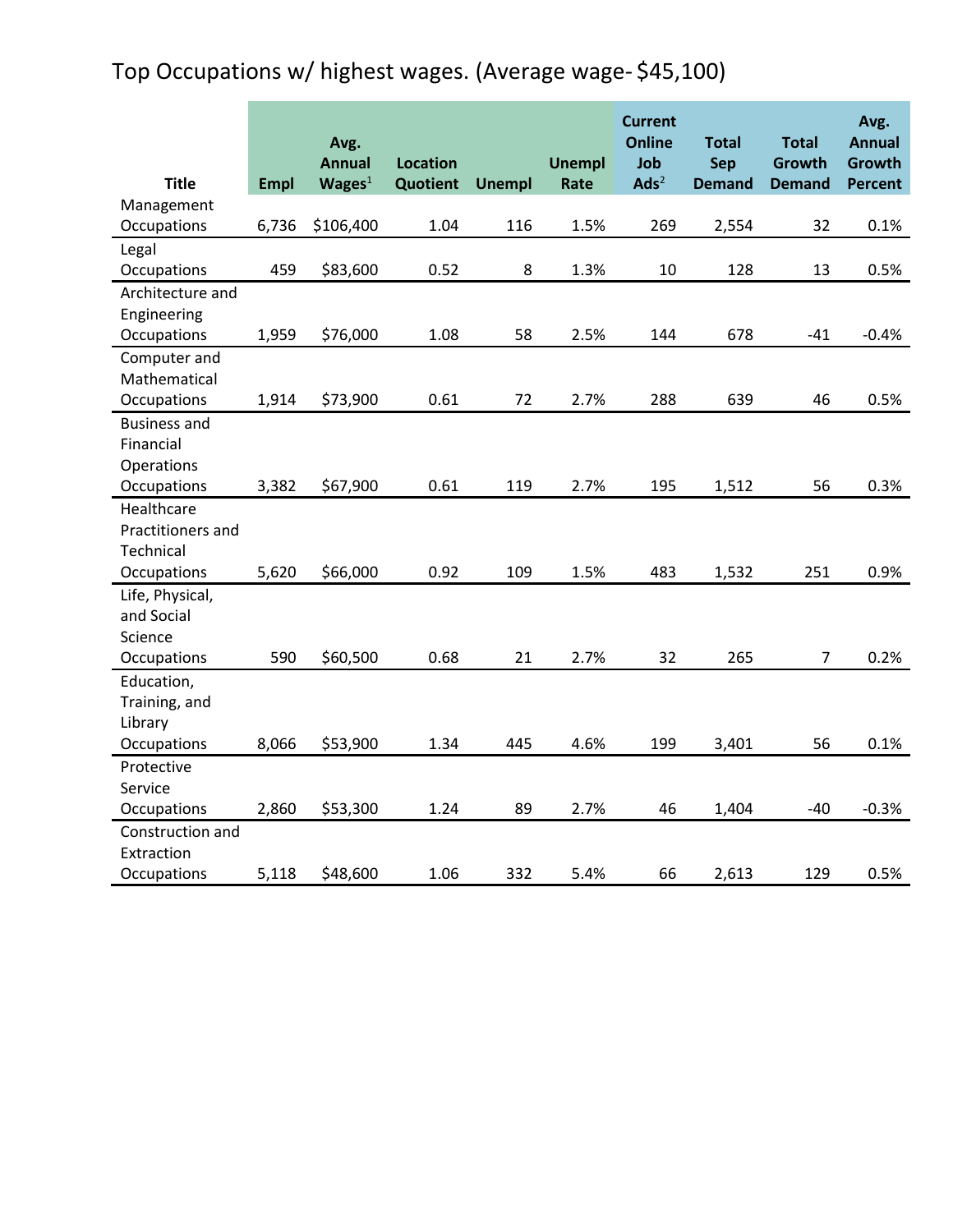## Top Occupations w/ highest wages. (Average wage- \$45,100)

|                          |             | Avg.                                |                             |               |                       | <b>Current</b><br><b>Online</b> | <b>Total</b>                | <b>Total</b>            | Avg.<br><b>Annual</b> |
|--------------------------|-------------|-------------------------------------|-----------------------------|---------------|-----------------------|---------------------------------|-----------------------------|-------------------------|-----------------------|
| <b>Title</b>             |             | <b>Annual</b><br>Wages <sup>1</sup> | <b>Location</b><br>Quotient | <b>Unempl</b> | <b>Unempl</b><br>Rate | Job<br>$\mathbf{Ads}^2$         | <b>Sep</b><br><b>Demand</b> | Growth<br><b>Demand</b> | Growth                |
| Management               | <b>Empl</b> |                                     |                             |               |                       |                                 |                             |                         | Percent               |
| Occupations              | 6,736       | \$106,400                           | 1.04                        | 116           | 1.5%                  | 269                             | 2,554                       | 32                      | 0.1%                  |
| Legal                    |             |                                     |                             |               |                       |                                 |                             |                         |                       |
| Occupations              | 459         | \$83,600                            | 0.52                        | 8             | 1.3%                  | 10                              | 128                         | 13                      | 0.5%                  |
| Architecture and         |             |                                     |                             |               |                       |                                 |                             |                         |                       |
| Engineering              |             |                                     |                             |               |                       |                                 |                             |                         |                       |
| Occupations              | 1,959       | \$76,000                            | 1.08                        | 58            | 2.5%                  | 144                             | 678                         | $-41$                   | $-0.4%$               |
| Computer and             |             |                                     |                             |               |                       |                                 |                             |                         |                       |
| Mathematical             |             |                                     |                             |               |                       |                                 |                             |                         |                       |
| Occupations              | 1,914       | \$73,900                            | 0.61                        | 72            | 2.7%                  | 288                             | 639                         | 46                      | 0.5%                  |
| <b>Business and</b>      |             |                                     |                             |               |                       |                                 |                             |                         |                       |
| Financial                |             |                                     |                             |               |                       |                                 |                             |                         |                       |
| Operations               |             |                                     |                             |               |                       |                                 |                             |                         |                       |
| Occupations              | 3,382       | \$67,900                            | 0.61                        | 119           | 2.7%                  | 195                             | 1,512                       | 56                      | 0.3%                  |
| Healthcare               |             |                                     |                             |               |                       |                                 |                             |                         |                       |
| Practitioners and        |             |                                     |                             |               |                       |                                 |                             |                         |                       |
| Technical                |             |                                     |                             |               |                       |                                 |                             |                         |                       |
| Occupations              | 5,620       | \$66,000                            | 0.92                        | 109           | 1.5%                  | 483                             | 1,532                       | 251                     | 0.9%                  |
| Life, Physical,          |             |                                     |                             |               |                       |                                 |                             |                         |                       |
| and Social               |             |                                     |                             |               |                       |                                 |                             |                         |                       |
| Science                  |             |                                     |                             |               |                       |                                 |                             |                         |                       |
| Occupations              | 590         | \$60,500                            | 0.68                        | 21            | 2.7%                  | 32                              | 265                         | $\overline{7}$          | 0.2%                  |
| Education,               |             |                                     |                             |               |                       |                                 |                             |                         |                       |
| Training, and<br>Library |             |                                     |                             |               |                       |                                 |                             |                         |                       |
| Occupations              | 8,066       | \$53,900                            | 1.34                        | 445           | 4.6%                  | 199                             | 3,401                       | 56                      | 0.1%                  |
| Protective               |             |                                     |                             |               |                       |                                 |                             |                         |                       |
| Service                  |             |                                     |                             |               |                       |                                 |                             |                         |                       |
| Occupations              | 2,860       | \$53,300                            | 1.24                        | 89            | 2.7%                  | 46                              | 1,404                       | $-40$                   | $-0.3%$               |
| Construction and         |             |                                     |                             |               |                       |                                 |                             |                         |                       |
| Extraction               |             |                                     |                             |               |                       |                                 |                             |                         |                       |
| Occupations              | 5,118       | \$48,600                            | 1.06                        | 332           | 5.4%                  | 66                              | 2,613                       | 129                     | 0.5%                  |